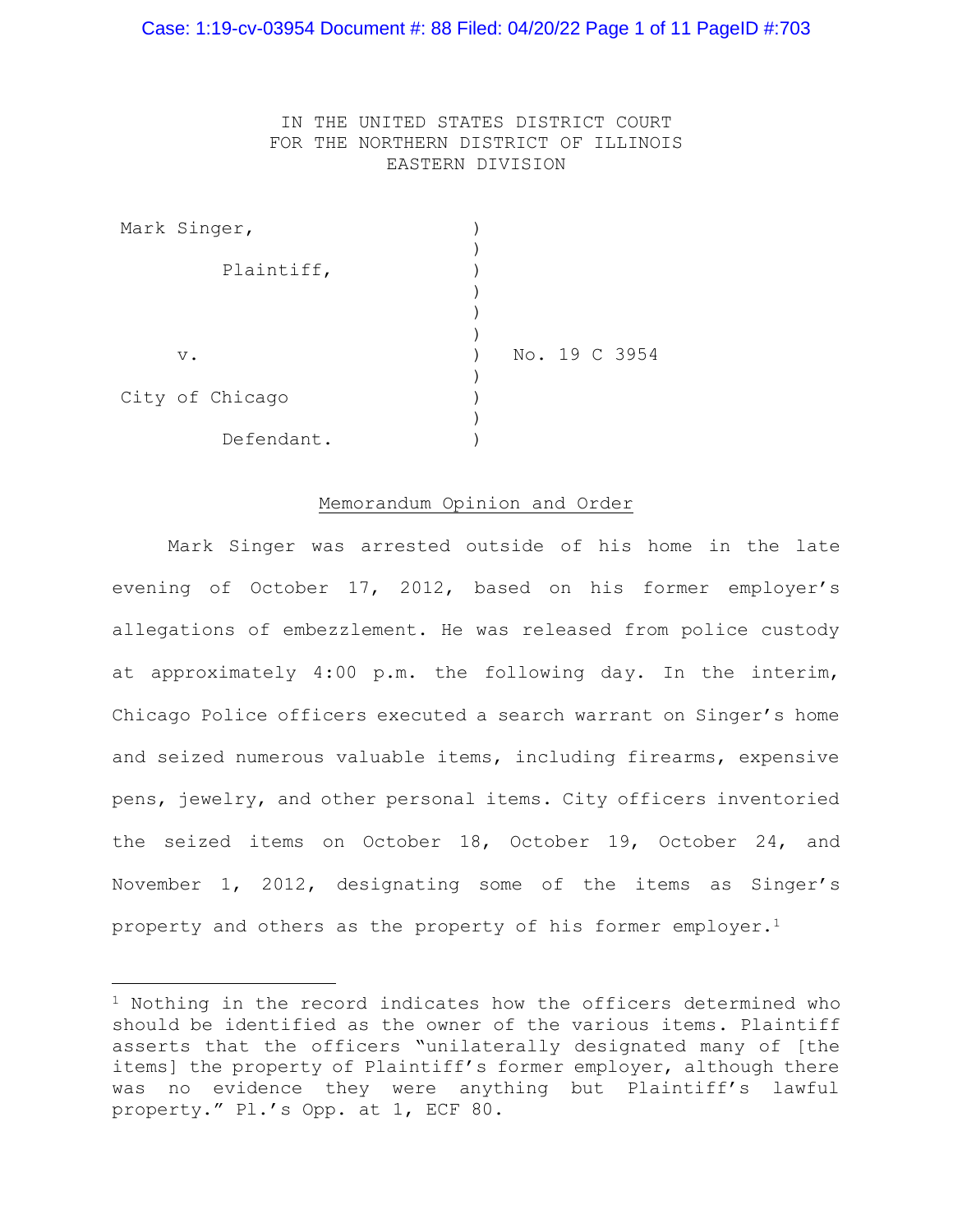#### Case: 1:19-cv-03954 Document #: 88 Filed: 04/20/22 Page 1 of 11 PageID #:703

### IN THE UNITED STATES DISTRICT COURT FOR THE NORTHERN DISTRICT OF ILLINOIS EASTERN DIVISION

|  | Mark Singer,    |  |  |               |
|--|-----------------|--|--|---------------|
|  |                 |  |  |               |
|  | Plaintiff,      |  |  |               |
|  |                 |  |  |               |
|  |                 |  |  |               |
|  |                 |  |  |               |
|  | $V$ .           |  |  | No. 19 C 3954 |
|  |                 |  |  |               |
|  | City of Chicago |  |  |               |
|  |                 |  |  |               |
|  | Defendant.      |  |  |               |

#### Memorandum Opinion and Order

Mark Singer was arrested outside of his home in the late evening of October 17, 2012, based on his former employer's allegations of embezzlement. He was released from police custody at approximately 4:00 p.m. the following day. In the interim, Chicago Police officers executed a search warrant on Singer's home and seized numerous valuable items, including firearms, expensive pens, jewelry, and other personal items. City officers inventoried the seized items on October 18, October 19, October 24, and November 1, 2012, designating some of the items as Singer's property and others as the property of his former employer.<sup>1</sup>

<sup>1</sup> Nothing in the record indicates how the officers determined who should be identified as the owner of the various items. Plaintiff asserts that the officers "unilaterally designated many of [the items] the property of Plaintiff's former employer, although there was no evidence they were anything but Plaintiff's lawful property." Pl.'s Opp. at 1, ECF 80.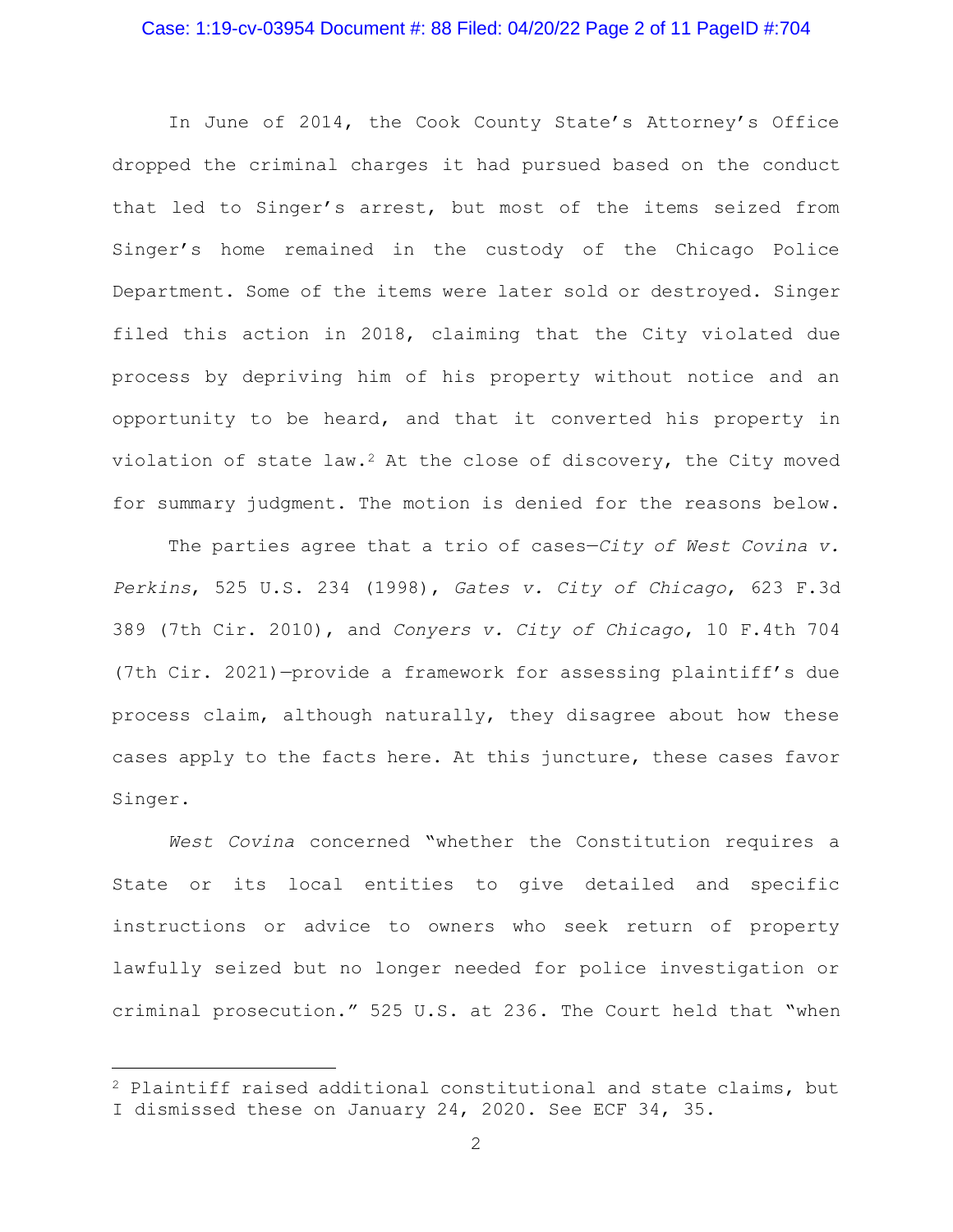### Case: 1:19-cv-03954 Document #: 88 Filed: 04/20/22 Page 2 of 11 PageID #:704

In June of 2014, the Cook County State's Attorney's Office dropped the criminal charges it had pursued based on the conduct that led to Singer's arrest, but most of the items seized from Singer's home remained in the custody of the Chicago Police Department. Some of the items were later sold or destroyed. Singer filed this action in 2018, claiming that the City violated due process by depriving him of his property without notice and an opportunity to be heard, and that it converted his property in violation of state law.<sup>2</sup> At the close of discovery, the City moved for summary judgment. The motion is denied for the reasons below.

The parties agree that a trio of cases—*City of West Covina v. Perkins*, 525 U.S. 234 (1998), *Gates v. City of Chicago*, 623 F.3d 389 (7th Cir. 2010), and *Conyers v. City of Chicago*, 10 F.4th 704 (7th Cir. 2021)—provide a framework for assessing plaintiff's due process claim, although naturally, they disagree about how these cases apply to the facts here. At this juncture, these cases favor Singer.

*West Covina* concerned "whether the Constitution requires a State or its local entities to give detailed and specific instructions or advice to owners who seek return of property lawfully seized but no longer needed for police investigation or criminal prosecution." 525 U.S. at 236. The Court held that "when

<sup>2</sup> Plaintiff raised additional constitutional and state claims, but I dismissed these on January 24, 2020. See ECF 34, 35.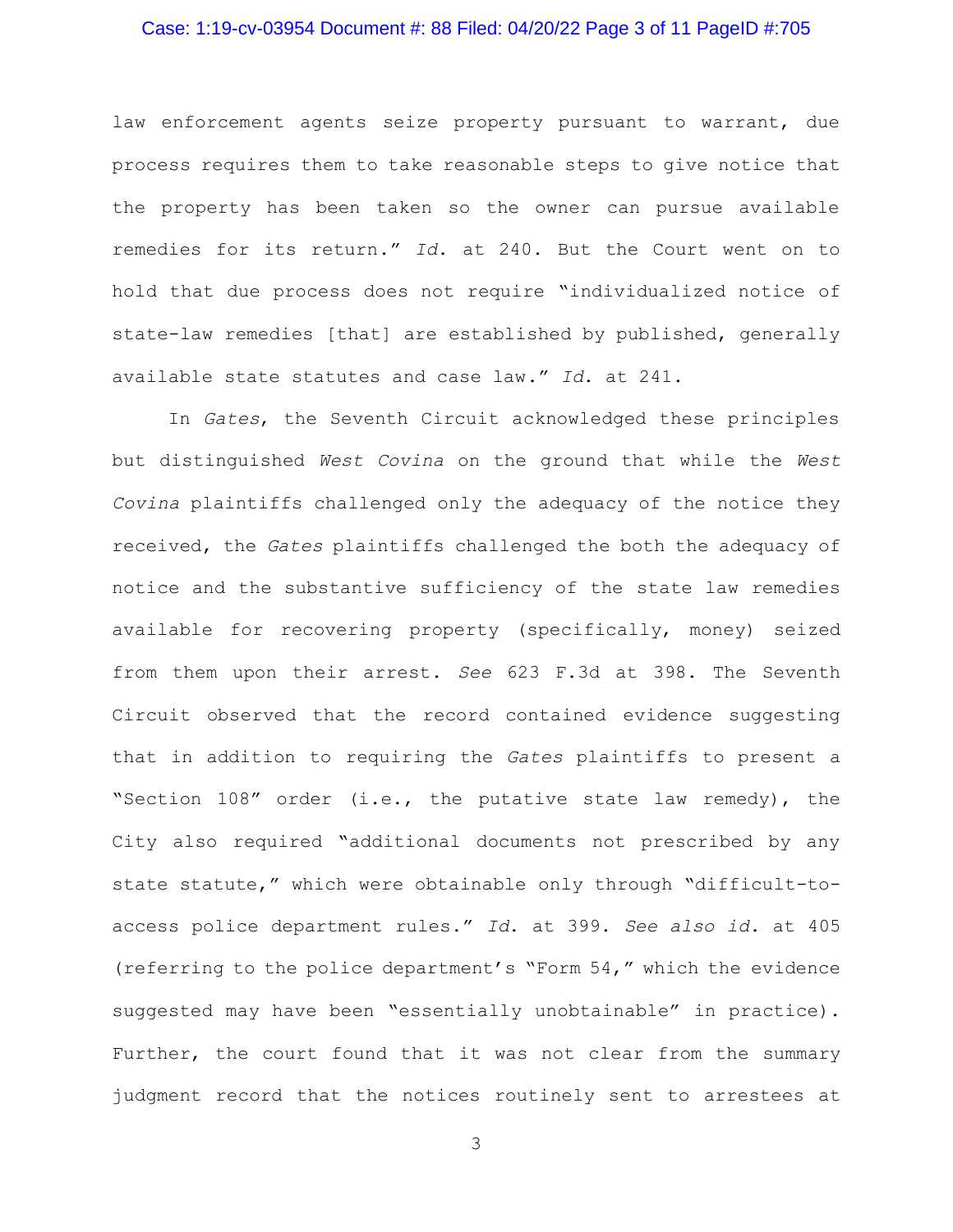### Case: 1:19-cv-03954 Document #: 88 Filed: 04/20/22 Page 3 of 11 PageID #:705

law enforcement agents seize property pursuant to warrant, due process requires them to take reasonable steps to give notice that the property has been taken so the owner can pursue available remedies for its return." *Id*. at 240. But the Court went on to hold that due process does not require "individualized notice of state-law remedies [that] are established by published, generally available state statutes and case law." *Id*. at 241.

In *Gates*, the Seventh Circuit acknowledged these principles but distinguished *West Covina* on the ground that while the *West Covina* plaintiffs challenged only the adequacy of the notice they received, the *Gates* plaintiffs challenged the both the adequacy of notice and the substantive sufficiency of the state law remedies available for recovering property (specifically, money) seized from them upon their arrest. *See* 623 F.3d at 398. The Seventh Circuit observed that the record contained evidence suggesting that in addition to requiring the *Gates* plaintiffs to present a "Section 108" order (i.e., the putative state law remedy), the City also required "additional documents not prescribed by any state statute," which were obtainable only through "difficult-toaccess police department rules." *Id*. at 399. *See also id.* at 405 (referring to the police department's "Form 54," which the evidence suggested may have been "essentially unobtainable" in practice). Further, the court found that it was not clear from the summary judgment record that the notices routinely sent to arrestees at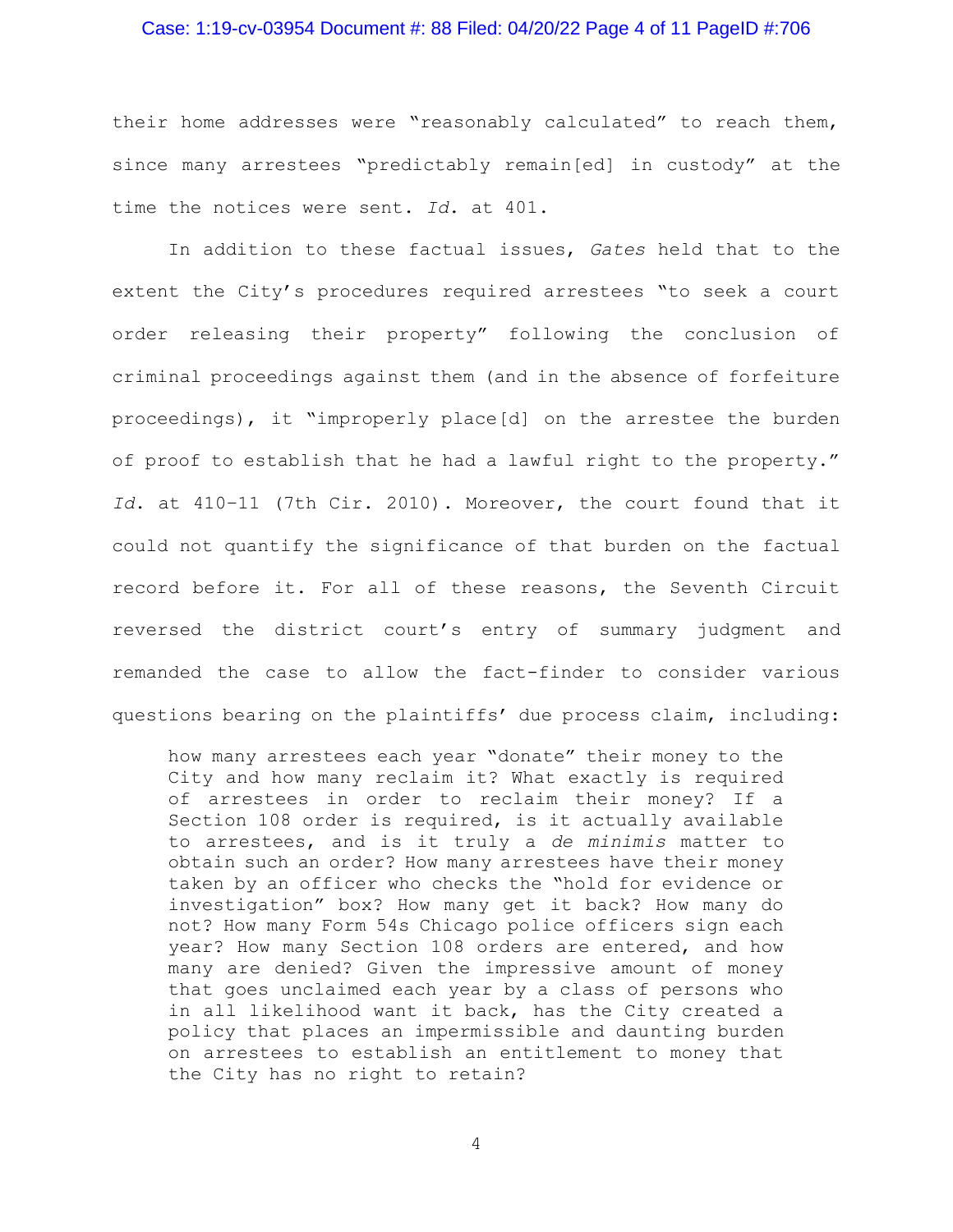### Case: 1:19-cv-03954 Document #: 88 Filed: 04/20/22 Page 4 of 11 PageID #:706

their home addresses were "reasonably calculated" to reach them, since many arrestees "predictably remain[ed] in custody" at the time the notices were sent. *Id*. at 401.

In addition to these factual issues, *Gates* held that to the extent the City's procedures required arrestees "to seek a court order releasing their property" following the conclusion of criminal proceedings against them (and in the absence of forfeiture proceedings), it "improperly place[d] on the arrestee the burden of proof to establish that he had a lawful right to the property." *Id*. at 410–11 (7th Cir. 2010). Moreover, the court found that it could not quantify the significance of that burden on the factual record before it. For all of these reasons, the Seventh Circuit reversed the district court's entry of summary judgment and remanded the case to allow the fact-finder to consider various questions bearing on the plaintiffs' due process claim, including:

how many arrestees each year "donate" their money to the City and how many reclaim it? What exactly is required of arrestees in order to reclaim their money? If a Section 108 order is required, is it actually available to arrestees, and is it truly a *de minimis* matter to obtain such an order? How many arrestees have their money taken by an officer who checks the "hold for evidence or investigation" box? How many get it back? How many do not? How many Form 54s Chicago police officers sign each year? How many Section 108 orders are entered, and how many are denied? Given the impressive amount of money that goes unclaimed each year by a class of persons who in all likelihood want it back, has the City created a policy that places an impermissible and daunting burden on arrestees to establish an entitlement to money that the City has no right to retain?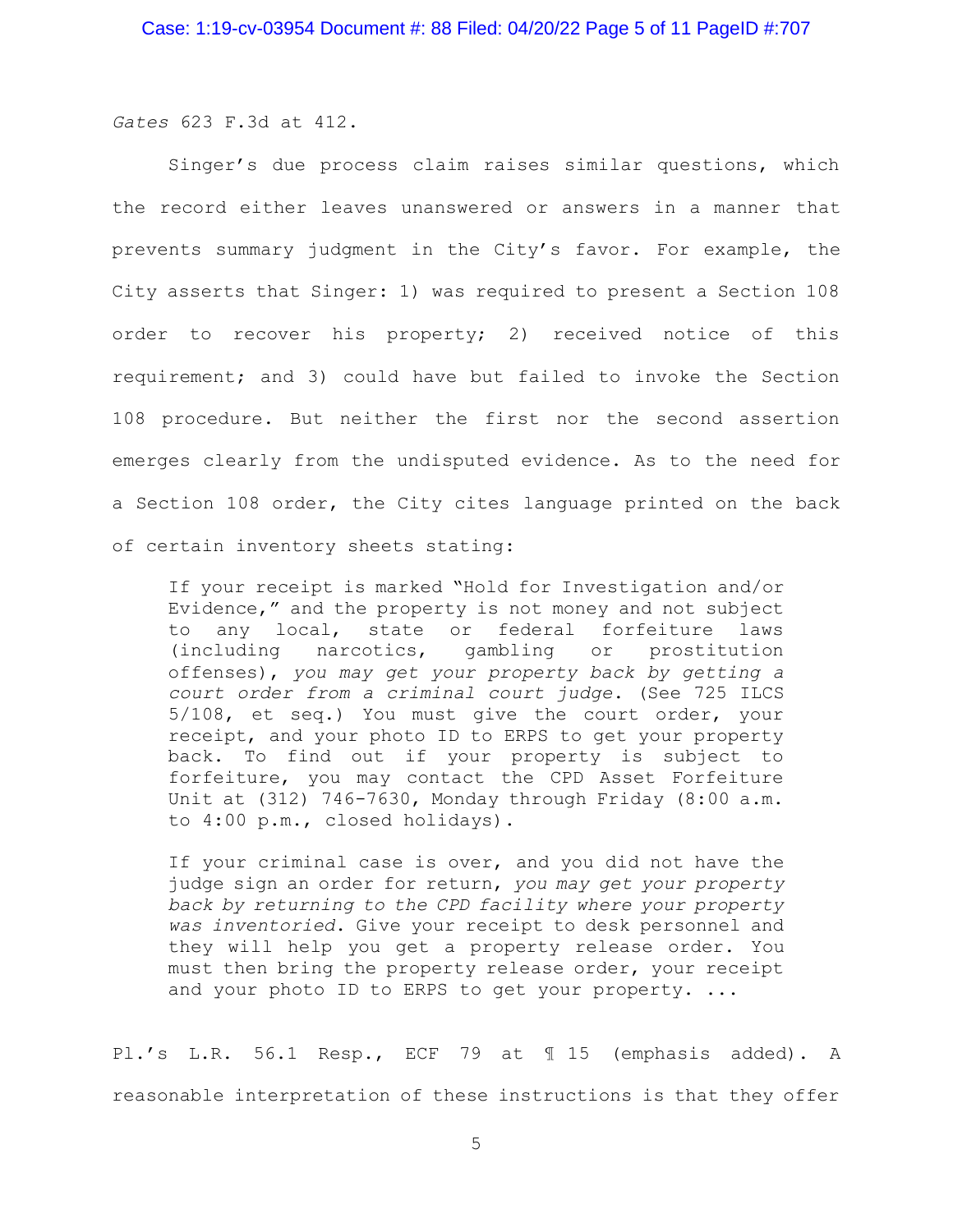*Gates* 623 F.3d at 412.

Singer's due process claim raises similar questions, which the record either leaves unanswered or answers in a manner that prevents summary judgment in the City's favor. For example, the City asserts that Singer: 1) was required to present a Section 108 order to recover his property; 2) received notice of this requirement; and 3) could have but failed to invoke the Section 108 procedure. But neither the first nor the second assertion emerges clearly from the undisputed evidence. As to the need for a Section 108 order, the City cites language printed on the back of certain inventory sheets stating:

If your receipt is marked "Hold for Investigation and/or Evidence," and the property is not money and not subject to any local, state or federal forfeiture laws (including narcotics, gambling or prostitution offenses), *you may get your property back by getting a court order from a criminal court judge*. (See 725 ILCS 5/108, et seq.) You must give the court order, your receipt, and your photo ID to ERPS to get your property back. To find out if your property is subject to forfeiture, you may contact the CPD Asset Forfeiture Unit at (312) 746-7630, Monday through Friday (8:00 a.m. to 4:00 p.m., closed holidays).

If your criminal case is over, and you did not have the judge sign an order for return, *you may get your property back by returning to the CPD facility where your property was inventoried*. Give your receipt to desk personnel and they will help you get a property release order. You must then bring the property release order, your receipt and your photo ID to ERPS to get your property. ...

Pl.'s L.R. 56.1 Resp., ECF 79 at ¶ 15 (emphasis added). A reasonable interpretation of these instructions is that they offer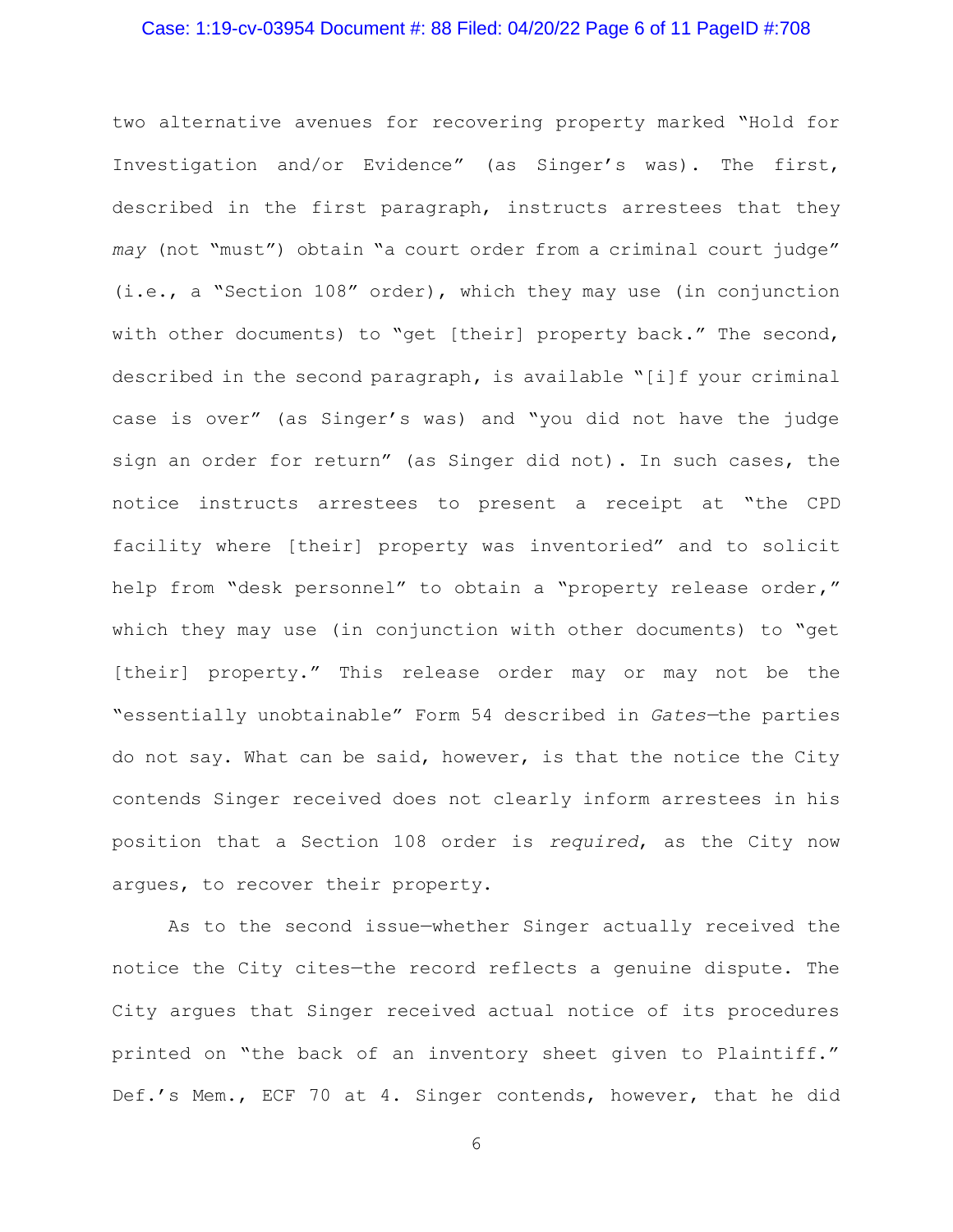# Case: 1:19-cv-03954 Document #: 88 Filed: 04/20/22 Page 6 of 11 PageID #:708

two alternative avenues for recovering property marked "Hold for Investigation and/or Evidence" (as Singer's was). The first, described in the first paragraph, instructs arrestees that they *may* (not "must") obtain "a court order from a criminal court judge" (i.e., a "Section 108" order), which they may use (in conjunction with other documents) to "get [their] property back." The second, described in the second paragraph, is available "[i]f your criminal case is over" (as Singer's was) and "you did not have the judge sign an order for return" (as Singer did not). In such cases, the notice instructs arrestees to present a receipt at "the CPD facility where [their] property was inventoried" and to solicit help from "desk personnel" to obtain a "property release order," which they may use (in conjunction with other documents) to "get [their] property." This release order may or may not be the "essentially unobtainable" Form 54 described in *Gates—*the parties do not say. What can be said, however, is that the notice the City contends Singer received does not clearly inform arrestees in his position that a Section 108 order is *required*, as the City now argues, to recover their property.

As to the second issue—whether Singer actually received the notice the City cites—the record reflects a genuine dispute. The City argues that Singer received actual notice of its procedures printed on "the back of an inventory sheet given to Plaintiff." Def.'s Mem., ECF 70 at 4. Singer contends, however, that he did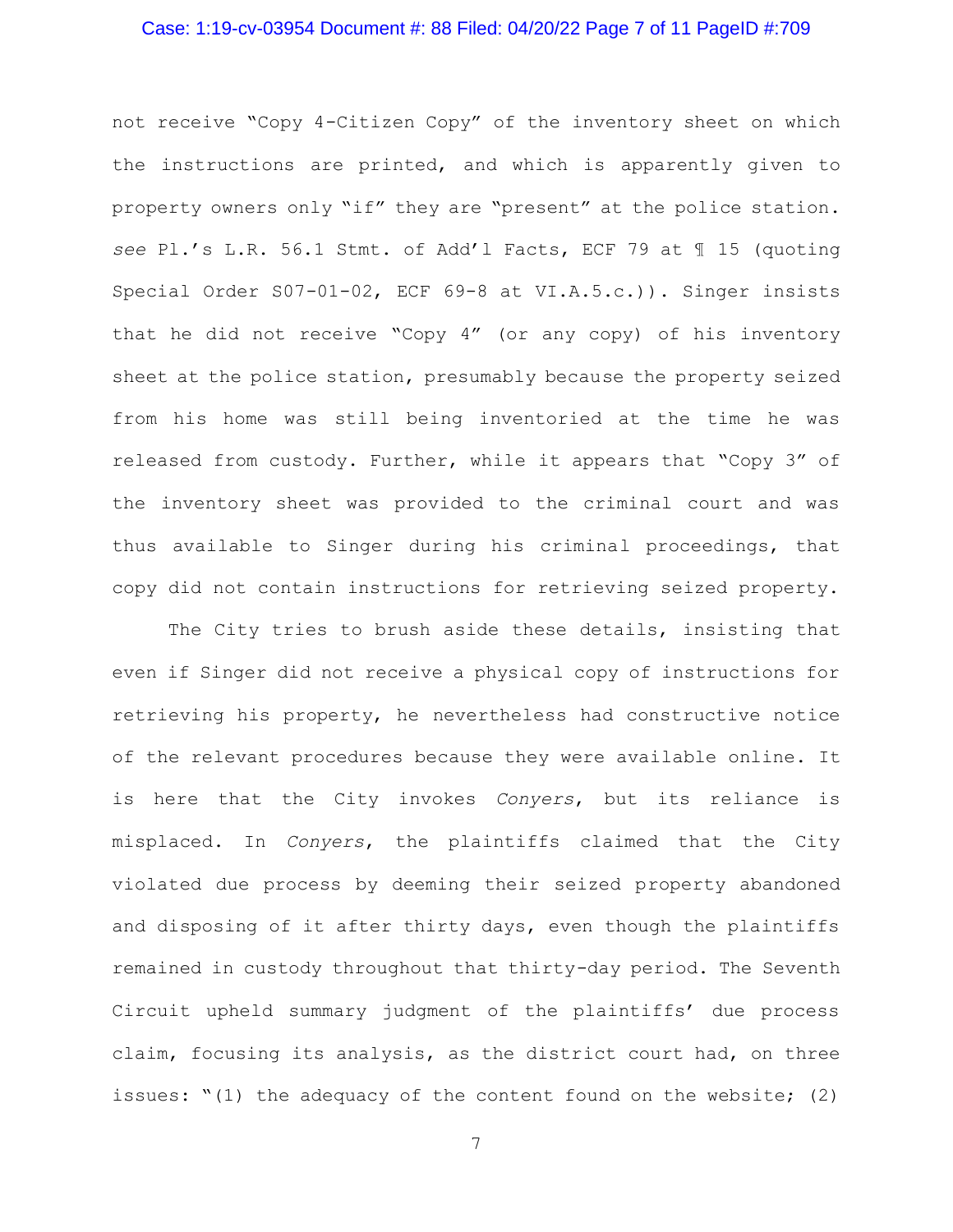# Case: 1:19-cv-03954 Document #: 88 Filed: 04/20/22 Page 7 of 11 PageID #:709

not receive "Copy 4-Citizen Copy" of the inventory sheet on which the instructions are printed, and which is apparently given to property owners only "if" they are "present" at the police station. *see* Pl.'s L.R. 56.1 Stmt. of Add'l Facts, ECF 79 at ¶ 15 (quoting Special Order S07-01-02, ECF 69-8 at VI.A.5.c.)). Singer insists that he did not receive "Copy 4" (or any copy) of his inventory sheet at the police station, presumably because the property seized from his home was still being inventoried at the time he was released from custody. Further, while it appears that "Copy 3" of the inventory sheet was provided to the criminal court and was thus available to Singer during his criminal proceedings, that copy did not contain instructions for retrieving seized property.

The City tries to brush aside these details, insisting that even if Singer did not receive a physical copy of instructions for retrieving his property, he nevertheless had constructive notice of the relevant procedures because they were available online. It is here that the City invokes *Conyers*, but its reliance is misplaced. In *Conyers*, the plaintiffs claimed that the City violated due process by deeming their seized property abandoned and disposing of it after thirty days, even though the plaintiffs remained in custody throughout that thirty-day period. The Seventh Circuit upheld summary judgment of the plaintiffs' due process claim, focusing its analysis, as the district court had, on three issues: "(1) the adequacy of the content found on the website; (2)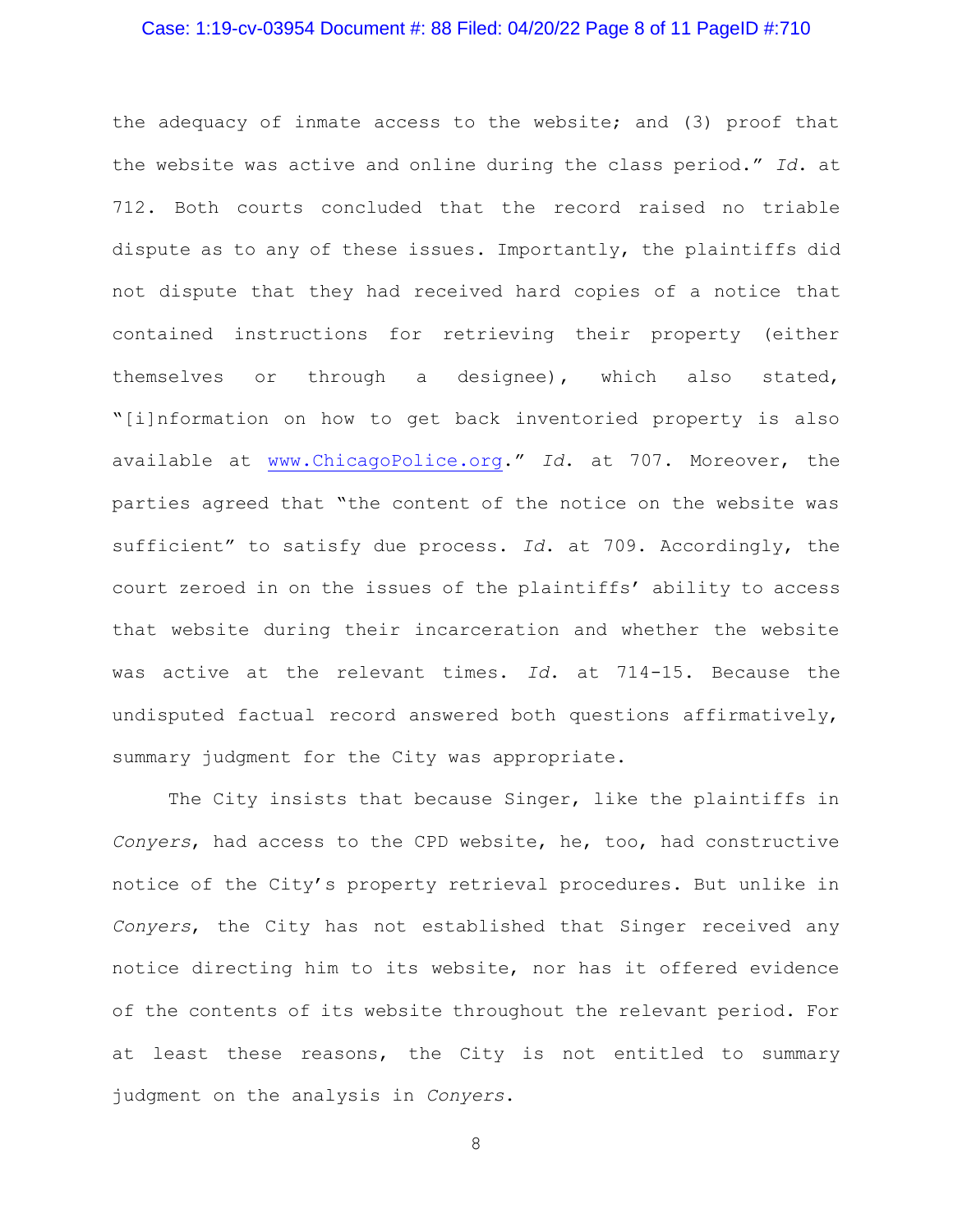### Case: 1:19-cv-03954 Document #: 88 Filed: 04/20/22 Page 8 of 11 PageID #:710

the adequacy of inmate access to the website; and (3) proof that the website was active and online during the class period." *Id*. at 712. Both courts concluded that the record raised no triable dispute as to any of these issues. Importantly, the plaintiffs did not dispute that they had received hard copies of a notice that contained instructions for retrieving their property (either themselves or through a designee), which also stated, "[i]nformation on how to get back inventoried property is also available at [www.ChicagoPolice.org.](http://www.chicagopolice.org/)" *Id*. at 707. Moreover, the parties agreed that "the content of the notice on the website was sufficient" to satisfy due process. *Id*. at 709. Accordingly, the court zeroed in on the issues of the plaintiffs' ability to access that website during their incarceration and whether the website was active at the relevant times. *Id*. at 714-15. Because the undisputed factual record answered both questions affirmatively, summary judgment for the City was appropriate.

The City insists that because Singer, like the plaintiffs in *Conyers*, had access to the CPD website, he, too, had constructive notice of the City's property retrieval procedures. But unlike in *Conyers*, the City has not established that Singer received any notice directing him to its website, nor has it offered evidence of the contents of its website throughout the relevant period. For at least these reasons, the City is not entitled to summary judgment on the analysis in *Conyers*.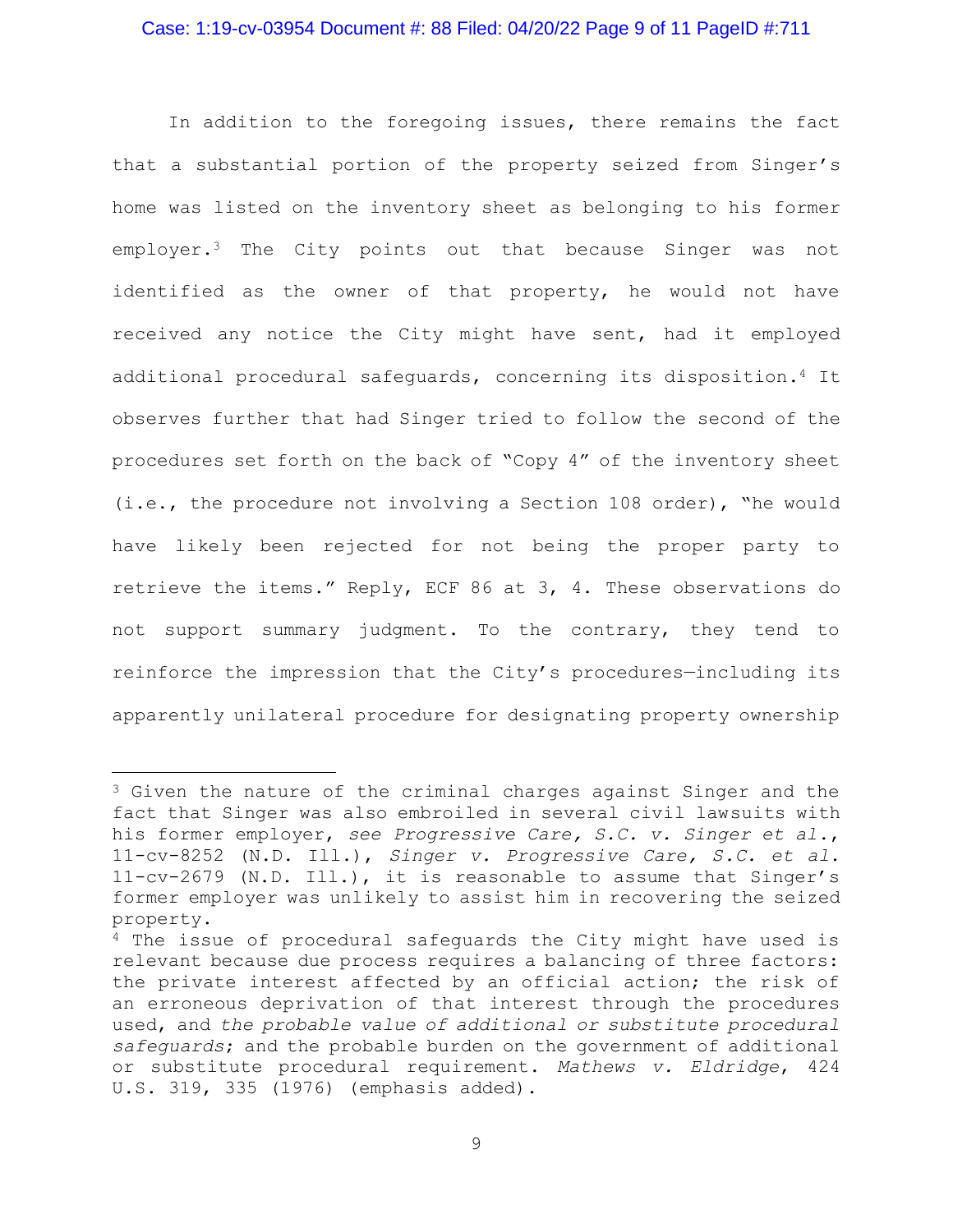### Case: 1:19-cv-03954 Document #: 88 Filed: 04/20/22 Page 9 of 11 PageID #:711

In addition to the foregoing issues, there remains the fact that a substantial portion of the property seized from Singer's home was listed on the inventory sheet as belonging to his former employer.<sup>3</sup> The City points out that because Singer was not identified as the owner of that property, he would not have received any notice the City might have sent, had it employed additional procedural safeguards, concerning its disposition.<sup>4</sup> It observes further that had Singer tried to follow the second of the procedures set forth on the back of "Copy 4" of the inventory sheet (i.e., the procedure not involving a Section 108 order), "he would have likely been rejected for not being the proper party to retrieve the items." Reply, ECF 86 at 3, 4. These observations do not support summary judgment. To the contrary, they tend to reinforce the impression that the City's procedures—including its apparently unilateral procedure for designating property ownership

<sup>3</sup> Given the nature of the criminal charges against Singer and the fact that Singer was also embroiled in several civil lawsuits with his former employer, *see Progressive Care, S.C. v. Singer et al*., 11-cv-8252 (N.D. Ill.), *Singer v. Progressive Care, S.C. et al*. 11-cv-2679 (N.D. Ill.), it is reasonable to assume that Singer's former employer was unlikely to assist him in recovering the seized property.

<sup>4</sup> The issue of procedural safeguards the City might have used is relevant because due process requires a balancing of three factors: the private interest affected by an official action; the risk of an erroneous deprivation of that interest through the procedures used, and *the probable value of additional or substitute procedural safeguards*; and the probable burden on the government of additional or substitute procedural requirement. *Mathews v. Eldridge*, 424 U.S. 319, 335 (1976) (emphasis added).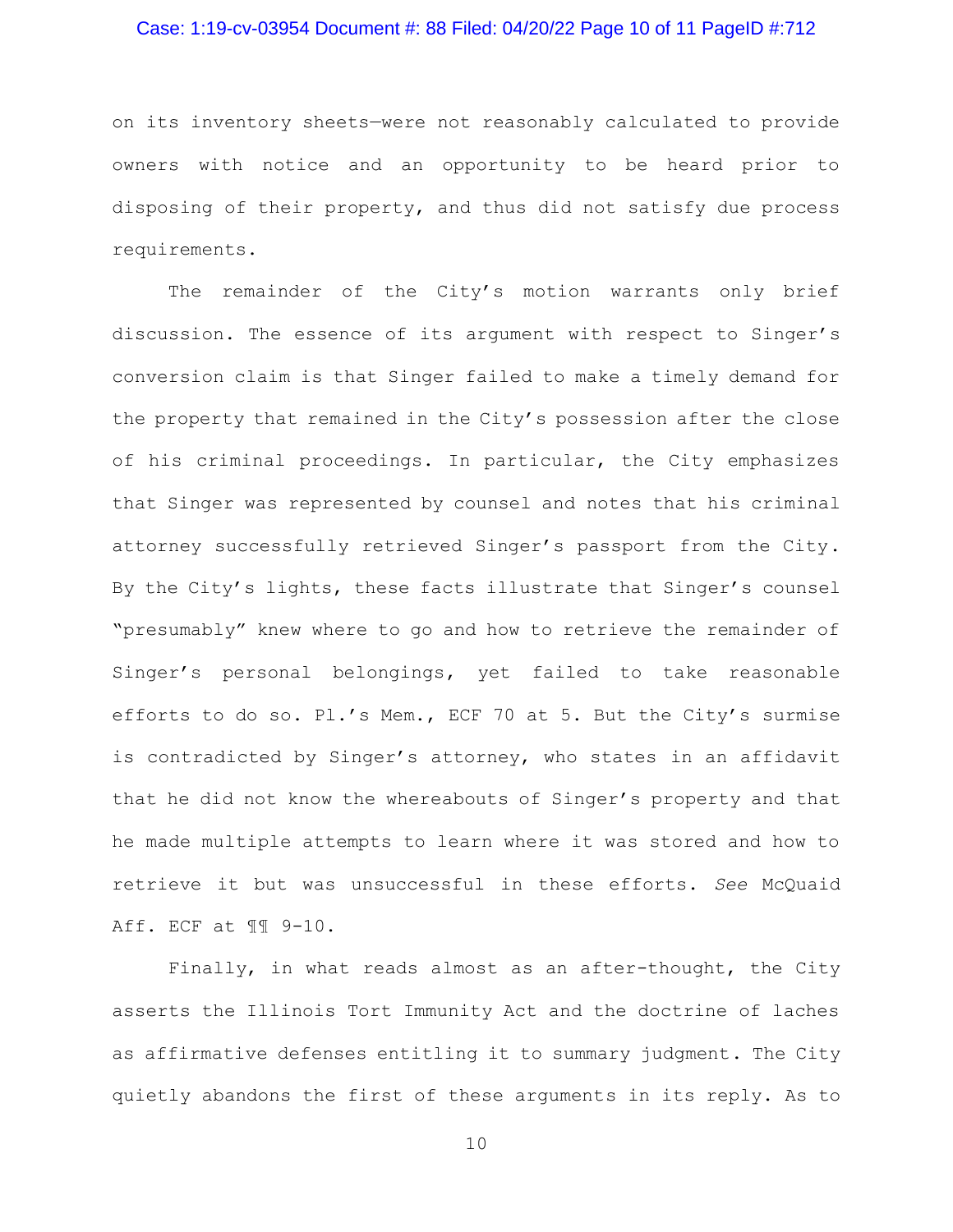### Case: 1:19-cv-03954 Document #: 88 Filed: 04/20/22 Page 10 of 11 PageID #:712

on its inventory sheets—were not reasonably calculated to provide owners with notice and an opportunity to be heard prior to disposing of their property, and thus did not satisfy due process requirements.

The remainder of the City's motion warrants only brief discussion. The essence of its argument with respect to Singer's conversion claim is that Singer failed to make a timely demand for the property that remained in the City's possession after the close of his criminal proceedings. In particular, the City emphasizes that Singer was represented by counsel and notes that his criminal attorney successfully retrieved Singer's passport from the City. By the City's lights, these facts illustrate that Singer's counsel "presumably" knew where to go and how to retrieve the remainder of Singer's personal belongings, yet failed to take reasonable efforts to do so. Pl.'s Mem., ECF 70 at 5. But the City's surmise is contradicted by Singer's attorney, who states in an affidavit that he did not know the whereabouts of Singer's property and that he made multiple attempts to learn where it was stored and how to retrieve it but was unsuccessful in these efforts. *See* McQuaid Aff. ECF at ¶¶ 9-10.

Finally, in what reads almost as an after-thought, the City asserts the Illinois Tort Immunity Act and the doctrine of laches as affirmative defenses entitling it to summary judgment. The City quietly abandons the first of these arguments in its reply. As to